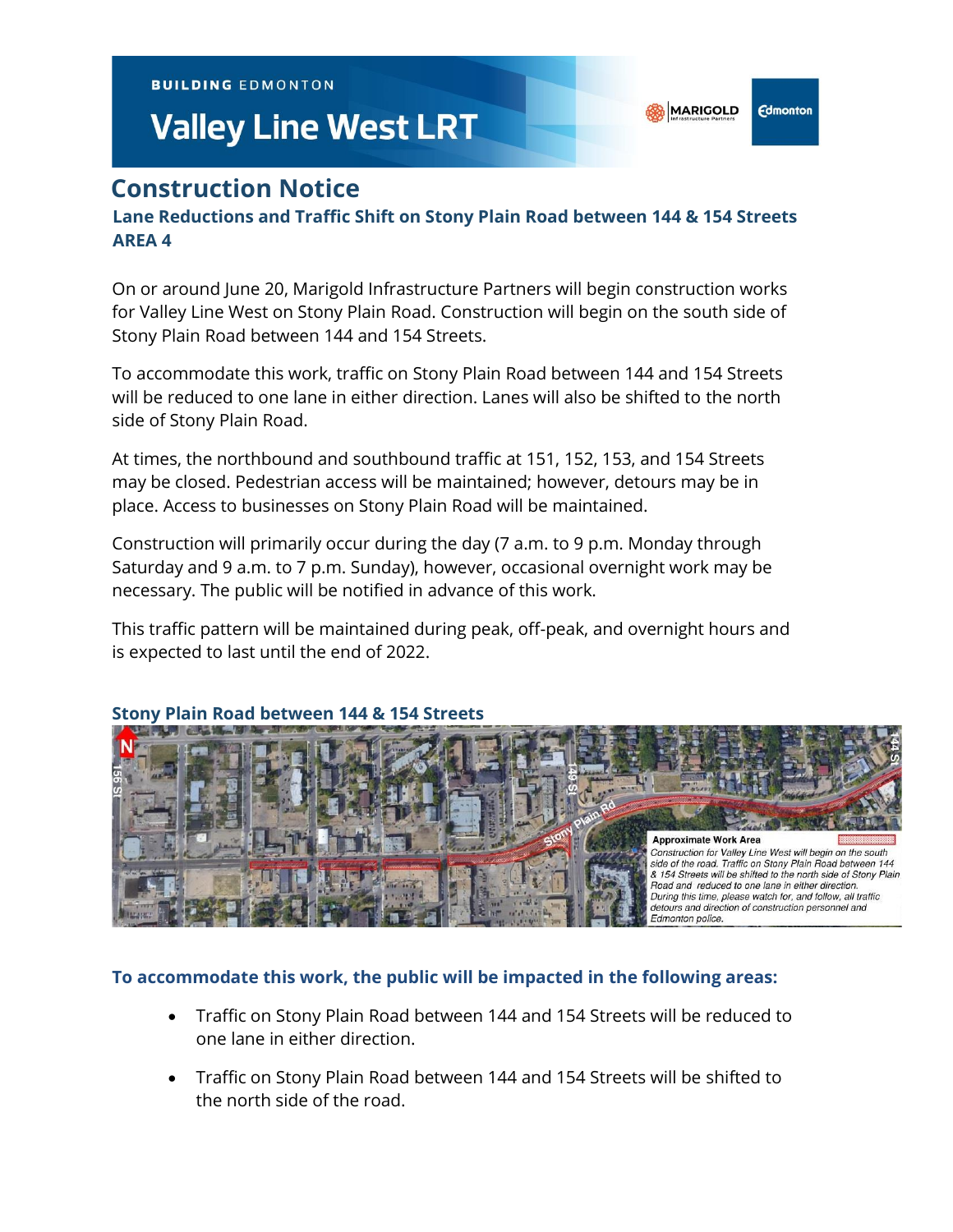**BUILDING EDMONTON** 

# **Valley Line West LRT**

**Edmonton** 

# **Construction Notice**

## **Lane Reductions and Traffic Shift on Stony Plain Road between 144 & 154 Streets AREA 4**

On or around June 20, Marigold Infrastructure Partners will begin construction works for Valley Line West on Stony Plain Road. Construction will begin on the south side of Stony Plain Road between 144 and 154 Streets.

To accommodate this work, traffic on Stony Plain Road between 144 and 154 Streets will be reduced to one lane in either direction. Lanes will also be shifted to the north side of Stony Plain Road.

At times, the northbound and southbound traffic at 151, 152, 153, and 154 Streets may be closed. Pedestrian access will be maintained; however, detours may be in place. Access to businesses on Stony Plain Road will be maintained.

Construction will primarily occur during the day (7 a.m. to 9 p.m. Monday through Saturday and 9 a.m. to 7 p.m. Sunday), however, occasional overnight work may be necessary. The public will be notified in advance of this work.

This traffic pattern will be maintained during peak, off-peak, and overnight hours and is expected to last until the end of 2022.



#### **Stony Plain Road between 144 & 154 Streets**

#### **To accommodate this work, the public will be impacted in the following areas:**

- Traffic on Stony Plain Road between 144 and 154 Streets will be reduced to one lane in either direction.
- Traffic on Stony Plain Road between 144 and 154 Streets will be shifted to the north side of the road.